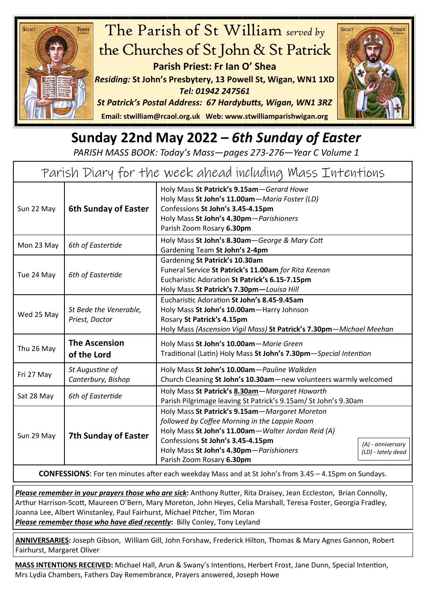



## **Sunday 22nd May 2022** *– 6th Sunday of Easter*

*PARISH MASS BOOK: Today's Mass—pages 273-276—Year C Volume 1*

| Parish Diary for the week ahead including Mass Intentions |                                          |                                                                                                                                                                                                                                                                                                                 |  |  |
|-----------------------------------------------------------|------------------------------------------|-----------------------------------------------------------------------------------------------------------------------------------------------------------------------------------------------------------------------------------------------------------------------------------------------------------------|--|--|
| Sun 22 May                                                | <b>6th Sunday of Easter</b>              | Holy Mass St Patrick's 9.15am-Gerard Howe<br>Holy Mass St John's 11.00am-Maria Foster (LD)<br>Confessions St John's 3.45-4.15pm<br>Holy Mass St John's 4.30pm-Parishioners<br>Parish Zoom Rosary 6.30pm                                                                                                         |  |  |
| Mon 23 May                                                | 6th of Eastertide                        | Holy Mass St John's 8.30am-George & Mary Cott<br>Gardening Team St John's 2-4pm                                                                                                                                                                                                                                 |  |  |
| Tue 24 May                                                | 6th of Eastertide                        | Gardening St Patrick's 10.30am<br>Funeral Service St Patrick's 11.00am for Rita Keenan<br>Eucharistic Adoration St Patrick's 6.15-7.15pm<br>Holy Mass St Patrick's 7.30pm-Louisa Hill                                                                                                                           |  |  |
| Wed 25 May                                                | St Bede the Venerable,<br>Priest, Doctor | Eucharistic Adoration St John's 8.45-9.45am<br>Holy Mass St John's 10.00am-Harry Johnson<br>Rosary St Patrick's 4.15pm<br>Holy Mass (Ascension Vigil Mass) St Patrick's 7.30pm-Michael Meehan                                                                                                                   |  |  |
| Thu 26 May                                                | <b>The Ascension</b><br>of the Lord      | Holy Mass St John's 10.00am-Marie Green<br>Traditional (Latin) Holy Mass St John's 7.30pm-Special Intention                                                                                                                                                                                                     |  |  |
| Fri 27 May                                                | St Augustine of<br>Canterbury, Bishop    | Holy Mass St John's 10.00am-Pauline Walkden<br>Church Cleaning St John's 10.30am-new volunteers warmly welcomed                                                                                                                                                                                                 |  |  |
| Sat 28 May                                                | 6th of Eastertide                        | Holy Mass St Patrick's 8.30am-Margaret Howarth<br>Parish Pilgrimage leaving St Patrick's 9.15am/ St John's 9.30am                                                                                                                                                                                               |  |  |
| Sun 29 May                                                | <b>7th Sunday of Easter</b>              | Holy Mass St Patrick's 9.15am - Margaret Moreton<br>followed by Coffee Morning in the Lappin Room<br>Holy Mass St John's 11.00am-Walter Jordan Reid (A)<br>Confessions St John's 3.45-4.15pm<br>(A) - anniversary<br>Holy Mass St John's 4.30pm-Parishioners<br>(LD) - lately dead<br>Parish Zoom Rosary 6.30pm |  |  |

**CONFESSIONS**: For ten minutes after each weekday Mass and at St John's from 3.45 – 4.15pm on Sundays.

*Please remember in your prayers those who are sick***:** Anthony Rutter, Rita Draisey, Jean Eccleston, Brian Connolly, Arthur Harrison-Scott, Maureen O'Bern, Mary Moreton, John Heyes, Celia Marshall, Teresa Foster, Georgia Fradley, Joanna Lee, Albert Winstanley, Paul Fairhurst, Michael Pitcher, Tim Moran *Please remember those who have died recently***:** Billy Conley, Tony Leyland

**ANNIVERSARIES:** Joseph Gibson, William Gill, John Forshaw, Frederick Hilton, Thomas & Mary Agnes Gannon, Robert Fairhurst, Margaret Oliver

**MASS INTENTIONS RECEIVED:** Michael Hall, Arun & Swany's Intentions, Herbert Frost, Jane Dunn, Special Intention, Mrs Lydia Chambers, Fathers Day Remembrance, Prayers answered, Joseph Howe